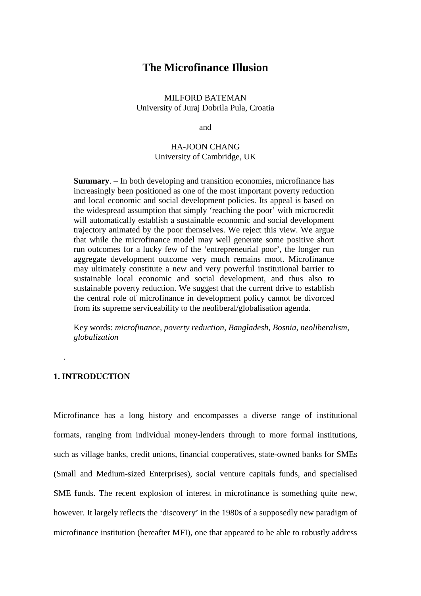# **The Microfinance Illusion**

MILFORD BATEMAN University of Juraj Dobrila Pula, Croatia

and

# HA-JOON CHANG University of Cambridge, UK

**Summary**. – In both developing and transition economies, microfinance has increasingly been positioned as one of the most important poverty reduction and local economic and social development policies. Its appeal is based on the widespread assumption that simply 'reaching the poor' with microcredit will automatically establish a sustainable economic and social development trajectory animated by the poor themselves. We reject this view. We argue that while the microfinance model may well generate some positive short run outcomes for a lucky few of the 'entrepreneurial poor', the longer run aggregate development outcome very much remains moot. Microfinance may ultimately constitute a new and very powerful institutional barrier to sustainable local economic and social development, and thus also to sustainable poverty reduction. We suggest that the current drive to establish the central role of microfinance in development policy cannot be divorced from its supreme serviceability to the neoliberal/globalisation agenda.

Key words: *microfinance, poverty reduction, Bangladesh, Bosnia, neoliberalism, globalization*

## **1. INTRODUCTION**

*.*

Microfinance has a long history and encompasses a diverse range of institutional formats, ranging from individual money-lenders through to more formal institutions, such as village banks, credit unions, financial cooperatives, state-owned banks for SMEs (Small and Medium-sized Enterprises), social venture capitals funds, and specialised SME **f**unds. The recent explosion of interest in microfinance is something quite new, however. It largely reflects the 'discovery' in the 1980s of a supposedly new paradigm of microfinance institution (hereafter MFI), one that appeared to be able to robustly address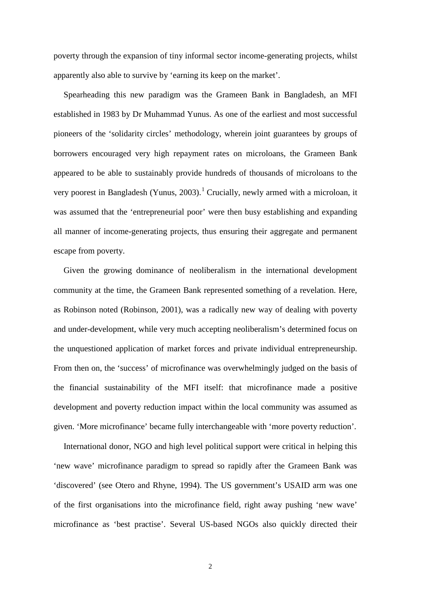poverty through the expansion of tiny informal sector income-generating projects, whilst apparently also able to survive by 'earning its keep on the market'.

Spearheading this new paradigm was the Grameen Bank in Bangladesh, an MFI established in 1983 by Dr Muhammad Yunus. As one of the earliest and most successful pioneers of the 'solidarity circles' methodology, wherein joint guarantees by groups of borrowers encouraged very high repayment rates on microloans, the Grameen Bank appeared to be able to sustainably provide hundreds of thousands of microloans to the very poorest in Bangladesh (Yunus, 2003).<sup>[1](#page-37-0)</sup> Crucially, newly armed with a microloan, it was assumed that the 'entrepreneurial poor' were then busy establishing and expanding all manner of income-generating projects, thus ensuring their aggregate and permanent escape from poverty.

Given the growing dominance of neoliberalism in the international development community at the time, the Grameen Bank represented something of a revelation. Here, as Robinson noted (Robinson, 2001), was a radically new way of dealing with poverty and under-development, while very much accepting neoliberalism's determined focus on the unquestioned application of market forces and private individual entrepreneurship. From then on, the 'success' of microfinance was overwhelmingly judged on the basis of the financial sustainability of the MFI itself: that microfinance made a positive development and poverty reduction impact within the local community was assumed as given. 'More microfinance' became fully interchangeable with 'more poverty reduction'.

International donor, NGO and high level political support were critical in helping this 'new wave' microfinance paradigm to spread so rapidly after the Grameen Bank was 'discovered' (see Otero and Rhyne, 1994). The US government's USAID arm was one of the first organisations into the microfinance field, right away pushing 'new wave' microfinance as 'best practise'. Several US-based NGOs also quickly directed their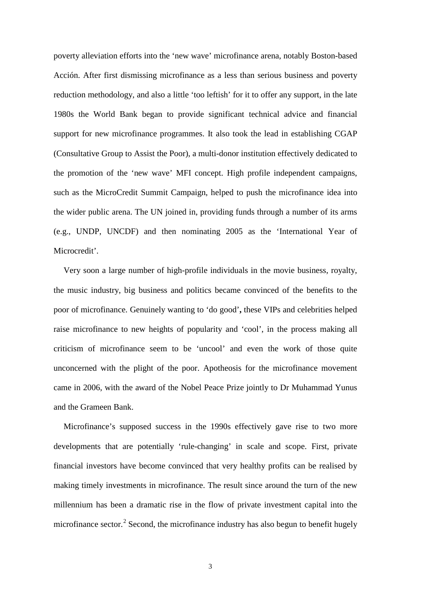poverty alleviation efforts into the 'new wave' microfinance arena, notably Boston-based Acción. After first dismissing microfinance as a less than serious business and poverty reduction methodology, and also a little 'too leftish' for it to offer any support, in the late 1980s the World Bank began to provide significant technical advice and financial support for new microfinance programmes. It also took the lead in establishing CGAP (Consultative Group to Assist the Poor), a multi-donor institution effectively dedicated to the promotion of the 'new wave' MFI concept. High profile independent campaigns, such as the MicroCredit Summit Campaign, helped to push the microfinance idea into the wider public arena. The UN joined in, providing funds through a number of its arms (e.g., UNDP, UNCDF) and then nominating 2005 as the 'International Year of Microcredit'.

Very soon a large number of high-profile individuals in the movie business, royalty, the music industry, big business and politics became convinced of the benefits to the poor of microfinance. Genuinely wanting to 'do good'**,** these VIPs and celebrities helped raise microfinance to new heights of popularity and 'cool', in the process making all criticism of microfinance seem to be 'uncool' and even the work of those quite unconcerned with the plight of the poor. Apotheosis for the microfinance movement came in 2006, with the award of the Nobel Peace Prize jointly to Dr Muhammad Yunus and the Grameen Bank.

Microfinance's supposed success in the 1990s effectively gave rise to two more developments that are potentially 'rule-changing' in scale and scope. First, private financial investors have become convinced that very healthy profits can be realised by making timely investments in microfinance. The result since around the turn of the new millennium has been a dramatic rise in the flow of private investment capital into the microfinance sector.<sup>[2](#page-37-1)</sup> Second, the microfinance industry has also begun to benefit hugely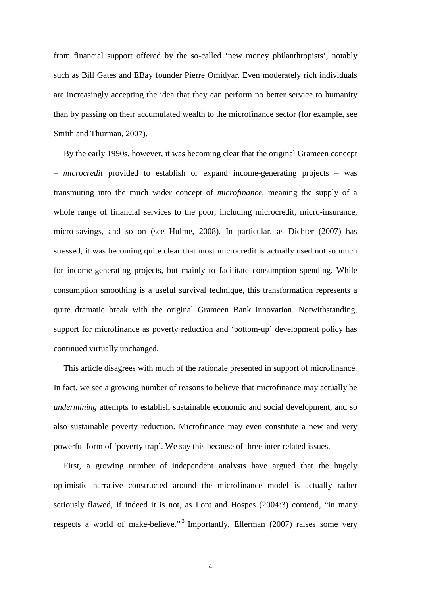from financial support offered by the so-called 'new money philanthropists', notably such as Bill Gates and EBay founder Pierre Omidyar. Even moderately rich individuals are increasingly accepting the idea that they can perform no better service to humanity than by passing on their accumulated wealth to the microfinance sector (for example, see Smith and Thurman, 2007).

By the early 1990s, however, it was becoming clear that the original Grameen concept – *microcredit* provided to establish or expand income-generating projects – was transmuting into the much wider concept of *microfinance*, meaning the supply of a whole range of financial services to the poor, including microcredit, micro-insurance, micro-savings, and so on (see Hulme, 2008). In particular, as Dichter (2007) has stressed, it was becoming quite clear that most microcredit is actually used not so much for income-generating projects, but mainly to facilitate consumption spending. While consumption smoothing is a useful survival technique, this transformation represents a quite dramatic break with the original Grameen Bank innovation. Notwithstanding, support for microfinance as poverty reduction and 'bottom-up' development policy has continued virtually unchanged.

This article disagrees with much of the rationale presented in support of microfinance. In fact, we see a growing number of reasons to believe that microfinance may actually be *undermining* attempts to establish sustainable economic and social development, and so also sustainable poverty reduction. Microfinance may even constitute a new and very powerful form of 'poverty trap'. We say this because of three inter-related issues.

First, a growing number of independent analysts have argued that the hugely optimistic narrative constructed around the microfinance model is actually rather seriously flawed, if indeed it is not, as Lont and Hospes (2004:3) contend, "in many respects a world of make-believe."<sup>[3](#page-37-2)</sup> Importantly, Ellerman  $(2007)$  raises some very

4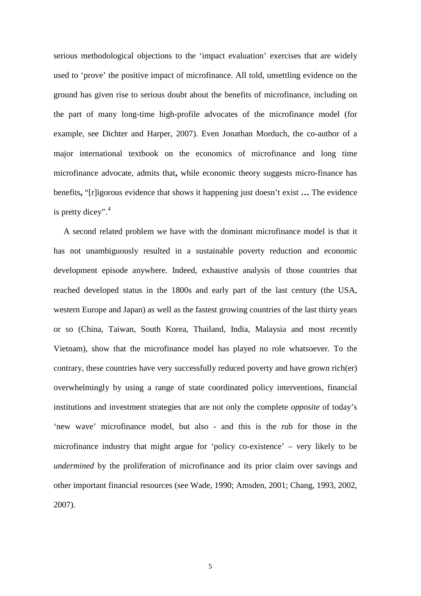serious methodological objections to the 'impact evaluation' exercises that are widely used to 'prove' the positive impact of microfinance. All told, unsettling evidence on the ground has given rise to serious doubt about the benefits of microfinance, including on the part of many long-time high-profile advocates of the microfinance model (for example, see Dichter and Harper, 2007). Even Jonathan Morduch, the co-author of a major international textbook on the economics of microfinance and long time microfinance advocate, admits that**,** while economic theory suggests micro-finance has benefits**,** "[r]igorous evidence that shows it happening just doesn't exist **…** The evidence is pretty dicey".<sup>[4](#page-37-3)</sup>

A second related problem we have with the dominant microfinance model is that it has not unambiguously resulted in a sustainable poverty reduction and economic development episode anywhere. Indeed, exhaustive analysis of those countries that reached developed status in the 1800s and early part of the last century (the USA, western Europe and Japan) as well as the fastest growing countries of the last thirty years or so (China, Taiwan, South Korea, Thailand, India, Malaysia and most recently Vietnam), show that the microfinance model has played no role whatsoever. To the contrary, these countries have very successfully reduced poverty and have grown rich(er) overwhelmingly by using a range of state coordinated policy interventions, financial institutions and investment strategies that are not only the complete *opposite* of today's 'new wave' microfinance model, but also - and this is the rub for those in the microfinance industry that might argue for 'policy co-existence' – very likely to be *undermined* by the proliferation of microfinance and its prior claim over savings and other important financial resources (see Wade, 1990; Amsden, 2001; Chang, 1993, 2002, 2007).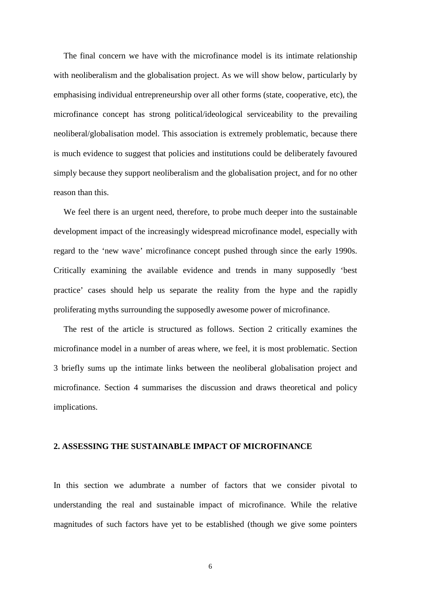The final concern we have with the microfinance model is its intimate relationship with neoliberalism and the globalisation project. As we will show below, particularly by emphasising individual entrepreneurship over all other forms (state, cooperative, etc), the microfinance concept has strong political/ideological serviceability to the prevailing neoliberal/globalisation model. This association is extremely problematic, because there is much evidence to suggest that policies and institutions could be deliberately favoured simply because they support neoliberalism and the globalisation project, and for no other reason than this.

We feel there is an urgent need, therefore, to probe much deeper into the sustainable development impact of the increasingly widespread microfinance model, especially with regard to the 'new wave' microfinance concept pushed through since the early 1990s. Critically examining the available evidence and trends in many supposedly 'best practice' cases should help us separate the reality from the hype and the rapidly proliferating myths surrounding the supposedly awesome power of microfinance.

The rest of the article is structured as follows. Section 2 critically examines the microfinance model in a number of areas where, we feel, it is most problematic. Section 3 briefly sums up the intimate links between the neoliberal globalisation project and microfinance. Section 4 summarises the discussion and draws theoretical and policy implications.

## **2. ASSESSING THE SUSTAINABLE IMPACT OF MICROFINANCE**

In this section we adumbrate a number of factors that we consider pivotal to understanding the real and sustainable impact of microfinance. While the relative magnitudes of such factors have yet to be established (though we give some pointers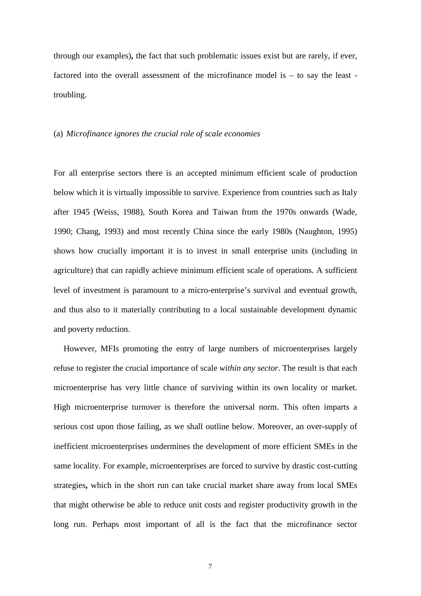through our examples)**,** the fact that such problematic issues exist but are rarely, if ever, factored into the overall assessment of the microfinance model is  $-$  to say the least  $$ troubling.

#### (a) *Microfinance ignores the crucial role of scale economies*

For all enterprise sectors there is an accepted minimum efficient scale of production below which it is virtually impossible to survive. Experience from countries such as Italy after 1945 (Weiss, 1988), South Korea and Taiwan from the 1970s onwards (Wade, 1990; Chang, 1993) and most recently China since the early 1980s (Naughton, 1995) shows how crucially important it is to invest in small enterprise units (including in agriculture) that can rapidly achieve minimum efficient scale of operations. A sufficient level of investment is paramount to a micro-enterprise's survival and eventual growth, and thus also to it materially contributing to a local sustainable development dynamic and poverty reduction.

However, MFIs promoting the entry of large numbers of microenterprises largely refuse to register the crucial importance of scale *within any sector*. The result is that each microenterprise has very little chance of surviving within its own locality or market. High microenterprise turnover is therefore the universal norm. This often imparts a serious cost upon those failing, as we shall outline below. Moreover, an over-supply of inefficient microenterprises undermines the development of more efficient SMEs in the same locality. For example, microenterprises are forced to survive by drastic cost-cutting strategies**,** which in the short run can take crucial market share away from local SMEs that might otherwise be able to reduce unit costs and register productivity growth in the long run. Perhaps most important of all is the fact that the microfinance sector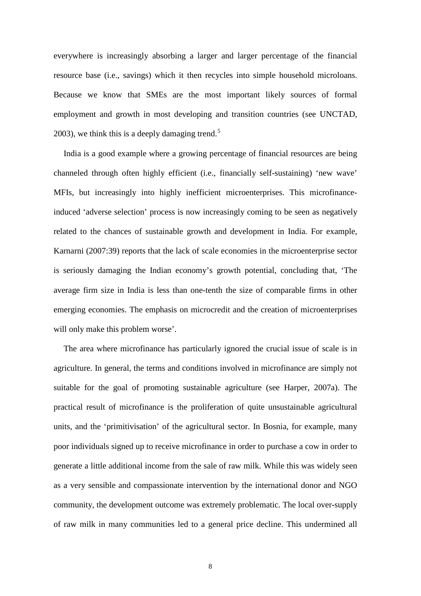everywhere is increasingly absorbing a larger and larger percentage of the financial resource base (i.e., savings) which it then recycles into simple household microloans. Because we know that SMEs are the most important likely sources of formal employment and growth in most developing and transition countries (see UNCTAD, 2003), we think this is a deeply damaging trend.<sup>[5](#page-37-4)</sup>

India is a good example where a growing percentage of financial resources are being channeled through often highly efficient (i.e., financially self-sustaining) 'new wave' MFIs, but increasingly into highly inefficient microenterprises. This microfinanceinduced 'adverse selection' process is now increasingly coming to be seen as negatively related to the chances of sustainable growth and development in India. For example, Karnarni (2007:39) reports that the lack of scale economies in the microenterprise sector is seriously damaging the Indian economy's growth potential, concluding that, 'The average firm size in India is less than one-tenth the size of comparable firms in other emerging economies. The emphasis on microcredit and the creation of microenterprises will only make this problem worse'.

The area where microfinance has particularly ignored the crucial issue of scale is in agriculture. In general, the terms and conditions involved in microfinance are simply not suitable for the goal of promoting sustainable agriculture (see Harper, 2007a). The practical result of microfinance is the proliferation of quite unsustainable agricultural units, and the 'primitivisation' of the agricultural sector. In Bosnia, for example, many poor individuals signed up to receive microfinance in order to purchase a cow in order to generate a little additional income from the sale of raw milk. While this was widely seen as a very sensible and compassionate intervention by the international donor and NGO community, the development outcome was extremely problematic. The local over-supply of raw milk in many communities led to a general price decline. This undermined all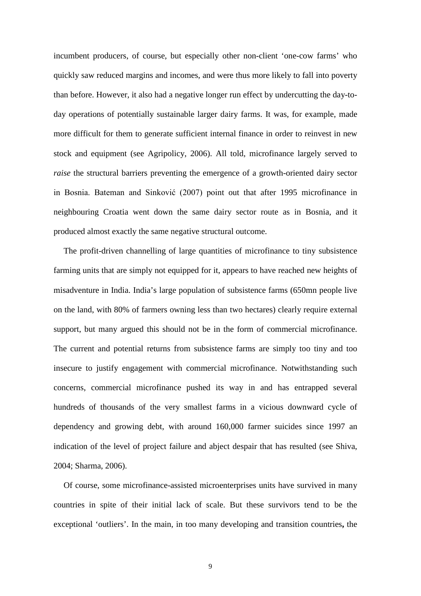incumbent producers, of course, but especially other non-client 'one-cow farms' who quickly saw reduced margins and incomes, and were thus more likely to fall into poverty than before. However, it also had a negative longer run effect by undercutting the day-today operations of potentially sustainable larger dairy farms. It was, for example, made more difficult for them to generate sufficient internal finance in order to reinvest in new stock and equipment (see Agripolicy, 2006). All told, microfinance largely served to *raise* the structural barriers preventing the emergence of a growth-oriented dairy sector in Bosnia. Bateman and Sinković (2007) point out that after 1995 microfinance in neighbouring Croatia went down the same dairy sector route as in Bosnia, and it produced almost exactly the same negative structural outcome.

The profit-driven channelling of large quantities of microfinance to tiny subsistence farming units that are simply not equipped for it, appears to have reached new heights of misadventure in India. India's large population of subsistence farms (650mn people live on the land, with 80% of farmers owning less than two hectares) clearly require external support, but many argued this should not be in the form of commercial microfinance. The current and potential returns from subsistence farms are simply too tiny and too insecure to justify engagement with commercial microfinance. Notwithstanding such concerns, commercial microfinance pushed its way in and has entrapped several hundreds of thousands of the very smallest farms in a vicious downward cycle of dependency and growing debt, with around 160,000 farmer suicides since 1997 an indication of the level of project failure and abject despair that has resulted (see Shiva, 2004; Sharma, 2006).

Of course, some microfinance-assisted microenterprises units have survived in many countries in spite of their initial lack of scale. But these survivors tend to be the exceptional 'outliers'. In the main, in too many developing and transition countries**,** the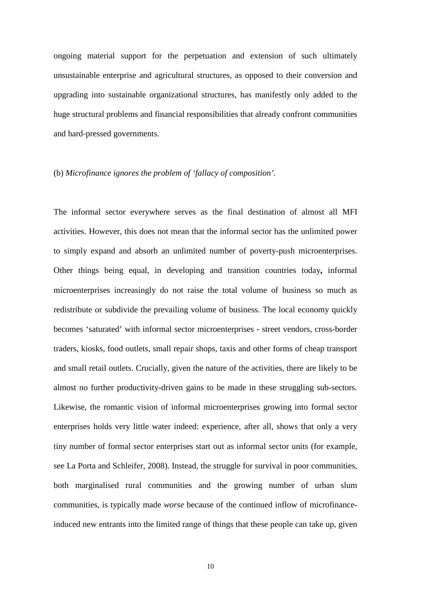ongoing material support for the perpetuation and extension of such ultimately unsustainable enterprise and agricultural structures, as opposed to their conversion and upgrading into sustainable organizational structures, has manifestly only added to the huge structural problems and financial responsibilities that already confront communities and hard-pressed governments.

#### (b) *Microfinance ignores the problem of 'fallacy of composition'.*

The informal sector everywhere serves as the final destination of almost all MFI activities. However, this does not mean that the informal sector has the unlimited power to simply expand and absorb an unlimited number of poverty-push microenterprises. Other things being equal, in developing and transition countries today**,** informal microenterprises increasingly do not raise the total volume of business so much as redistribute or subdivide the prevailing volume of business. The local economy quickly becomes 'saturated' with informal sector microenterprises - street vendors, cross-border traders, kiosks, food outlets, small repair shops, taxis and other forms of cheap transport and small retail outlets. Crucially, given the nature of the activities, there are likely to be almost no further productivity-driven gains to be made in these struggling sub-sectors. Likewise, the romantic vision of informal microenterprises growing into formal sector enterprises holds very little water indeed: experience, after all, shows that only a very tiny number of formal sector enterprises start out as informal sector units (for example, see La Porta and Schleifer, 2008). Instead, the struggle for survival in poor communities, both marginalised rural communities and the growing number of urban slum communities, is typically made *worse* because of the continued inflow of microfinanceinduced new entrants into the limited range of things that these people can take up, given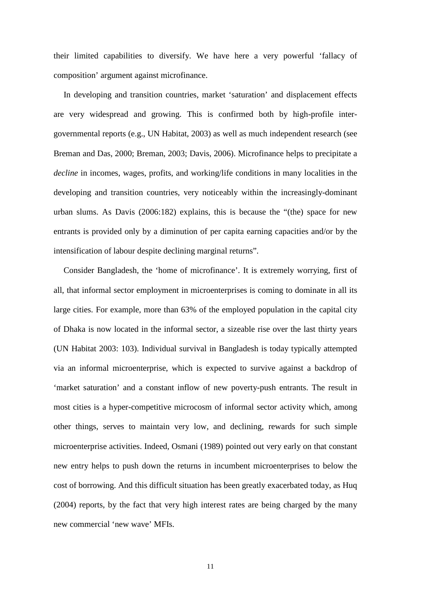their limited capabilities to diversify. We have here a very powerful 'fallacy of composition' argument against microfinance.

In developing and transition countries, market 'saturation' and displacement effects are very widespread and growing. This is confirmed both by high-profile intergovernmental reports (e.g., UN Habitat, 2003) as well as much independent research (see Breman and Das, 2000; Breman, 2003; Davis, 2006). Microfinance helps to precipitate a *decline* in incomes, wages, profits, and working/life conditions in many localities in the developing and transition countries, very noticeably within the increasingly-dominant urban slums. As Davis (2006:182) explains, this is because the "(the) space for new entrants is provided only by a diminution of per capita earning capacities and/or by the intensification of labour despite declining marginal returns".

Consider Bangladesh, the 'home of microfinance'. It is extremely worrying, first of all, that informal sector employment in microenterprises is coming to dominate in all its large cities. For example, more than 63% of the employed population in the capital city of Dhaka is now located in the informal sector, a sizeable rise over the last thirty years (UN Habitat 2003: 103). Individual survival in Bangladesh is today typically attempted via an informal microenterprise, which is expected to survive against a backdrop of 'market saturation' and a constant inflow of new poverty-push entrants. The result in most cities is a hyper-competitive microcosm of informal sector activity which, among other things, serves to maintain very low, and declining, rewards for such simple microenterprise activities. Indeed, Osmani (1989) pointed out very early on that constant new entry helps to push down the returns in incumbent microenterprises to below the cost of borrowing. And this difficult situation has been greatly exacerbated today, as Huq (2004) reports, by the fact that very high interest rates are being charged by the many new commercial 'new wave' MFIs.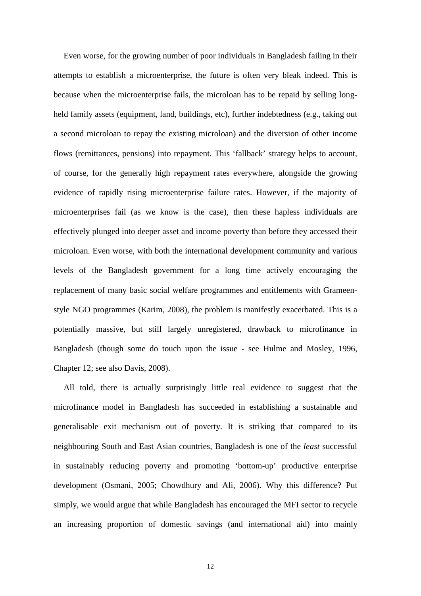Even worse, for the growing number of poor individuals in Bangladesh failing in their attempts to establish a microenterprise, the future is often very bleak indeed. This is because when the microenterprise fails, the microloan has to be repaid by selling longheld family assets (equipment, land, buildings, etc), further indebtedness (e.g., taking out a second microloan to repay the existing microloan) and the diversion of other income flows (remittances, pensions) into repayment. This 'fallback' strategy helps to account, of course, for the generally high repayment rates everywhere, alongside the growing evidence of rapidly rising microenterprise failure rates. However, if the majority of microenterprises fail (as we know is the case), then these hapless individuals are effectively plunged into deeper asset and income poverty than before they accessed their microloan. Even worse, with both the international development community and various levels of the Bangladesh government for a long time actively encouraging the replacement of many basic social welfare programmes and entitlements with Grameenstyle NGO programmes (Karim, 2008), the problem is manifestly exacerbated. This is a potentially massive, but still largely unregistered, drawback to microfinance in Bangladesh (though some do touch upon the issue - see Hulme and Mosley, 1996, Chapter 12; see also Davis, 2008).

All told, there is actually surprisingly little real evidence to suggest that the microfinance model in Bangladesh has succeeded in establishing a sustainable and generalisable exit mechanism out of poverty. It is striking that compared to its neighbouring South and East Asian countries, Bangladesh is one of the *least* successful in sustainably reducing poverty and promoting 'bottom-up' productive enterprise development (Osmani, 2005; Chowdhury and Ali, 2006). Why this difference? Put simply, we would argue that while Bangladesh has encouraged the MFI sector to recycle an increasing proportion of domestic savings (and international aid) into mainly

12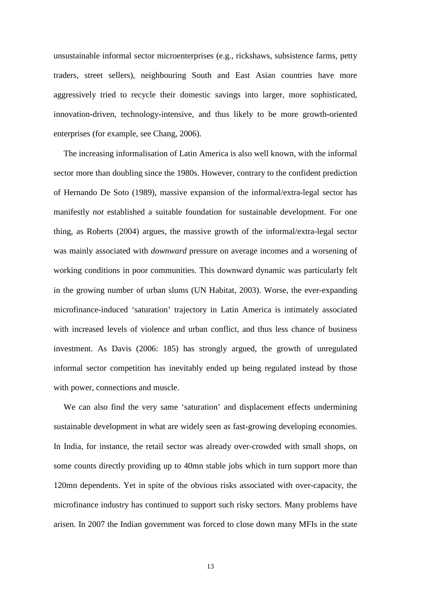unsustainable informal sector microenterprises (e.g., rickshaws, subsistence farms, petty traders, street sellers), neighbouring South and East Asian countries have more aggressively tried to recycle their domestic savings into larger, more sophisticated, innovation-driven, technology-intensive, and thus likely to be more growth-oriented enterprises (for example, see Chang, 2006).

The increasing informalisation of Latin America is also well known, with the informal sector more than doubling since the 1980s. However, contrary to the confident prediction of Hernando De Soto (1989), massive expansion of the informal/extra-legal sector has manifestly *not* established a suitable foundation for sustainable development. For one thing, as Roberts (2004) argues, the massive growth of the informal/extra-legal sector was mainly associated with *downward* pressure on average incomes and a worsening of working conditions in poor communities. This downward dynamic was particularly felt in the growing number of urban slums (UN Habitat, 2003). Worse, the ever-expanding microfinance-induced 'saturation' trajectory in Latin America is intimately associated with increased levels of violence and urban conflict, and thus less chance of business investment. As Davis (2006: 185) has strongly argued, the growth of unregulated informal sector competition has inevitably ended up being regulated instead by those with power, connections and muscle.

We can also find the very same 'saturation' and displacement effects undermining sustainable development in what are widely seen as fast-growing developing economies. In India, for instance, the retail sector was already over-crowded with small shops, on some counts directly providing up to 40mn stable jobs which in turn support more than 120mn dependents. Yet in spite of the obvious risks associated with over-capacity, the microfinance industry has continued to support such risky sectors. Many problems have arisen. In 2007 the Indian government was forced to close down many MFIs in the state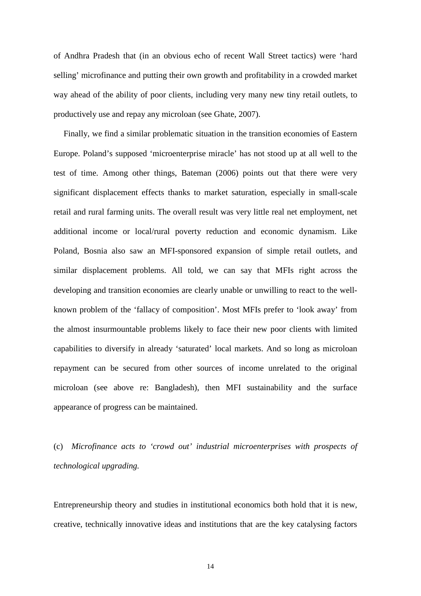of Andhra Pradesh that (in an obvious echo of recent Wall Street tactics) were 'hard selling' microfinance and putting their own growth and profitability in a crowded market way ahead of the ability of poor clients, including very many new tiny retail outlets, to productively use and repay any microloan (see Ghate, 2007).

Finally, we find a similar problematic situation in the transition economies of Eastern Europe. Poland's supposed 'microenterprise miracle' has not stood up at all well to the test of time. Among other things, Bateman (2006) points out that there were very significant displacement effects thanks to market saturation, especially in small-scale retail and rural farming units. The overall result was very little real net employment, net additional income or local/rural poverty reduction and economic dynamism. Like Poland, Bosnia also saw an MFI-sponsored expansion of simple retail outlets, and similar displacement problems. All told, we can say that MFIs right across the developing and transition economies are clearly unable or unwilling to react to the wellknown problem of the 'fallacy of composition'. Most MFIs prefer to 'look away' from the almost insurmountable problems likely to face their new poor clients with limited capabilities to diversify in already 'saturated' local markets. And so long as microloan repayment can be secured from other sources of income unrelated to the original microloan (see above re: Bangladesh), then MFI sustainability and the surface appearance of progress can be maintained.

(c) *Microfinance acts to 'crowd out' industrial microenterprises with prospects of technological upgrading.*

Entrepreneurship theory and studies in institutional economics both hold that it is new, creative, technically innovative ideas and institutions that are the key catalysing factors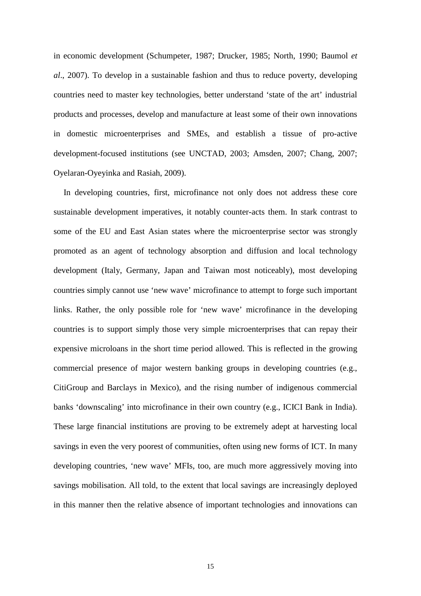in economic development (Schumpeter, 1987; Drucker, 1985; North, 1990; Baumol *et al*., 2007). To develop in a sustainable fashion and thus to reduce poverty, developing countries need to master key technologies, better understand 'state of the art' industrial products and processes, develop and manufacture at least some of their own innovations in domestic microenterprises and SMEs, and establish a tissue of pro-active development-focused institutions (see UNCTAD, 2003; Amsden, 2007; Chang, 2007; Oyelaran-Oyeyinka and Rasiah, 2009).

In developing countries, first, microfinance not only does not address these core sustainable development imperatives, it notably counter-acts them. In stark contrast to some of the EU and East Asian states where the microenterprise sector was strongly promoted as an agent of technology absorption and diffusion and local technology development (Italy, Germany, Japan and Taiwan most noticeably), most developing countries simply cannot use 'new wave' microfinance to attempt to forge such important links. Rather, the only possible role for 'new wave' microfinance in the developing countries is to support simply those very simple microenterprises that can repay their expensive microloans in the short time period allowed. This is reflected in the growing commercial presence of major western banking groups in developing countries (e.g., CitiGroup and Barclays in Mexico), and the rising number of indigenous commercial banks 'downscaling' into microfinance in their own country (e.g., ICICI Bank in India). These large financial institutions are proving to be extremely adept at harvesting local savings in even the very poorest of communities, often using new forms of ICT. In many developing countries, 'new wave' MFIs, too, are much more aggressively moving into savings mobilisation. All told, to the extent that local savings are increasingly deployed in this manner then the relative absence of important technologies and innovations can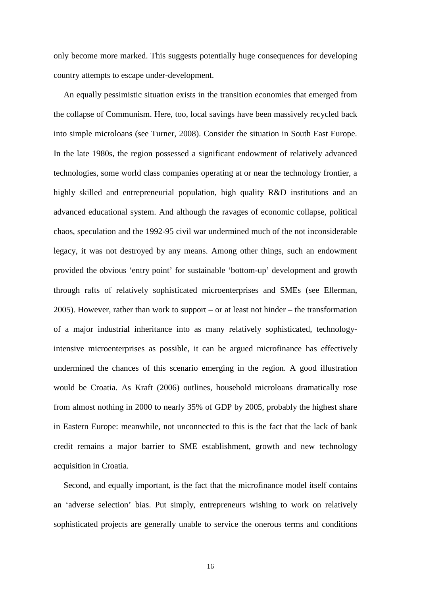only become more marked. This suggests potentially huge consequences for developing country attempts to escape under-development.

An equally pessimistic situation exists in the transition economies that emerged from the collapse of Communism. Here, too, local savings have been massively recycled back into simple microloans (see Turner, 2008). Consider the situation in South East Europe. In the late 1980s, the region possessed a significant endowment of relatively advanced technologies, some world class companies operating at or near the technology frontier, a highly skilled and entrepreneurial population, high quality R&D institutions and an advanced educational system. And although the ravages of economic collapse, political chaos, speculation and the 1992-95 civil war undermined much of the not inconsiderable legacy, it was not destroyed by any means. Among other things, such an endowment provided the obvious 'entry point' for sustainable 'bottom-up' development and growth through rafts of relatively sophisticated microenterprises and SMEs (see Ellerman, 2005). However, rather than work to support – or at least not hinder – the transformation of a major industrial inheritance into as many relatively sophisticated, technologyintensive microenterprises as possible, it can be argued microfinance has effectively undermined the chances of this scenario emerging in the region. A good illustration would be Croatia. As Kraft (2006) outlines, household microloans dramatically rose from almost nothing in 2000 to nearly 35% of GDP by 2005, probably the highest share in Eastern Europe: meanwhile, not unconnected to this is the fact that the lack of bank credit remains a major barrier to SME establishment, growth and new technology acquisition in Croatia.

Second, and equally important, is the fact that the microfinance model itself contains an 'adverse selection' bias. Put simply, entrepreneurs wishing to work on relatively sophisticated projects are generally unable to service the onerous terms and conditions

16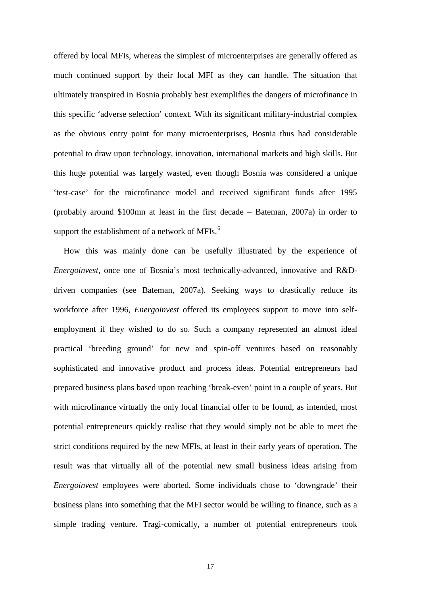offered by local MFIs, whereas the simplest of microenterprises are generally offered as much continued support by their local MFI as they can handle. The situation that ultimately transpired in Bosnia probably best exemplifies the dangers of microfinance in this specific 'adverse selection' context. With its significant military-industrial complex as the obvious entry point for many microenterprises, Bosnia thus had considerable potential to draw upon technology, innovation, international markets and high skills. But this huge potential was largely wasted, even though Bosnia was considered a unique 'test-case' for the microfinance model and received significant funds after 1995 (probably around \$100mn at least in the first decade – Bateman, 2007a) in order to support the establishment of a network of MFIs.<sup>[6](#page-37-5)</sup>

How this was mainly done can be usefully illustrated by the experience of *Energoinvest*, once one of Bosnia's most technically-advanced, innovative and R&Ddriven companies (see Bateman, 2007a). Seeking ways to drastically reduce its workforce after 1996, *Energoinvest* offered its employees support to move into selfemployment if they wished to do so. Such a company represented an almost ideal practical 'breeding ground' for new and spin-off ventures based on reasonably sophisticated and innovative product and process ideas. Potential entrepreneurs had prepared business plans based upon reaching 'break-even' point in a couple of years. But with microfinance virtually the only local financial offer to be found, as intended, most potential entrepreneurs quickly realise that they would simply not be able to meet the strict conditions required by the new MFIs, at least in their early years of operation. The result was that virtually all of the potential new small business ideas arising from *Energoinvest* employees were aborted. Some individuals chose to 'downgrade' their business plans into something that the MFI sector would be willing to finance, such as a simple trading venture. Tragi-comically, a number of potential entrepreneurs took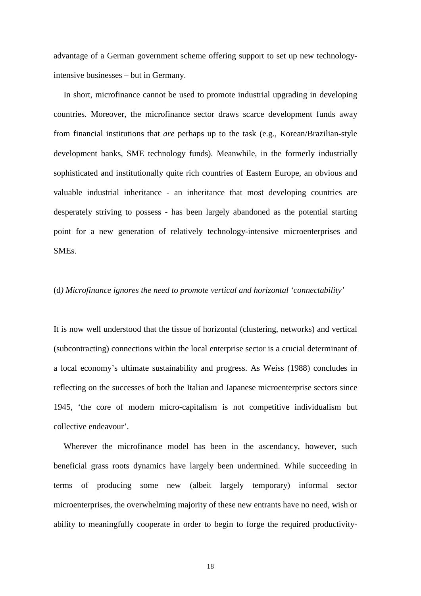advantage of a German government scheme offering support to set up new technologyintensive businesses – but in Germany.

In short, microfinance cannot be used to promote industrial upgrading in developing countries. Moreover, the microfinance sector draws scarce development funds away from financial institutions that *are* perhaps up to the task (e.g., Korean/Brazilian-style development banks, SME technology funds). Meanwhile, in the formerly industrially sophisticated and institutionally quite rich countries of Eastern Europe, an obvious and valuable industrial inheritance - an inheritance that most developing countries are desperately striving to possess - has been largely abandoned as the potential starting point for a new generation of relatively technology-intensive microenterprises and SMEs.

# (d*) Microfinance ignores the need to promote vertical and horizontal 'connectability'*

It is now well understood that the tissue of horizontal (clustering, networks) and vertical (subcontracting) connections within the local enterprise sector is a crucial determinant of a local economy's ultimate sustainability and progress. As Weiss (1988) concludes in reflecting on the successes of both the Italian and Japanese microenterprise sectors since 1945, 'the core of modern micro-capitalism is not competitive individualism but collective endeavour'.

Wherever the microfinance model has been in the ascendancy, however, such beneficial grass roots dynamics have largely been undermined. While succeeding in terms of producing some new (albeit largely temporary) informal sector microenterprises, the overwhelming majority of these new entrants have no need, wish or ability to meaningfully cooperate in order to begin to forge the required productivity-

18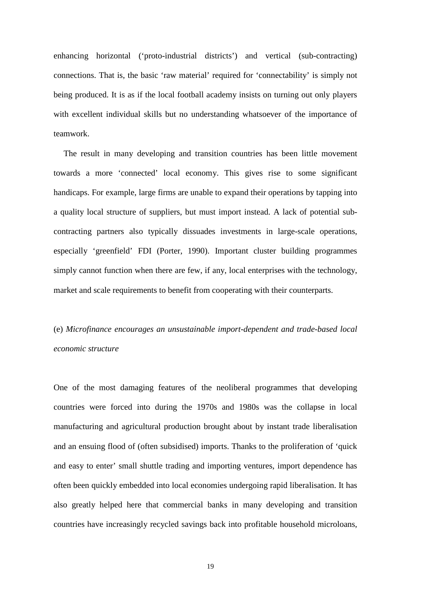enhancing horizontal ('proto-industrial districts') and vertical (sub-contracting) connections. That is, the basic 'raw material' required for 'connectability' is simply not being produced. It is as if the local football academy insists on turning out only players with excellent individual skills but no understanding whatsoever of the importance of teamwork.

The result in many developing and transition countries has been little movement towards a more 'connected' local economy. This gives rise to some significant handicaps. For example, large firms are unable to expand their operations by tapping into a quality local structure of suppliers, but must import instead. A lack of potential subcontracting partners also typically dissuades investments in large-scale operations, especially 'greenfield' FDI (Porter, 1990). Important cluster building programmes simply cannot function when there are few, if any, local enterprises with the technology, market and scale requirements to benefit from cooperating with their counterparts.

(e) *Microfinance encourages an unsustainable import-dependent and trade-based local economic structure*

One of the most damaging features of the neoliberal programmes that developing countries were forced into during the 1970s and 1980s was the collapse in local manufacturing and agricultural production brought about by instant trade liberalisation and an ensuing flood of (often subsidised) imports. Thanks to the proliferation of 'quick and easy to enter' small shuttle trading and importing ventures, import dependence has often been quickly embedded into local economies undergoing rapid liberalisation. It has also greatly helped here that commercial banks in many developing and transition countries have increasingly recycled savings back into profitable household microloans,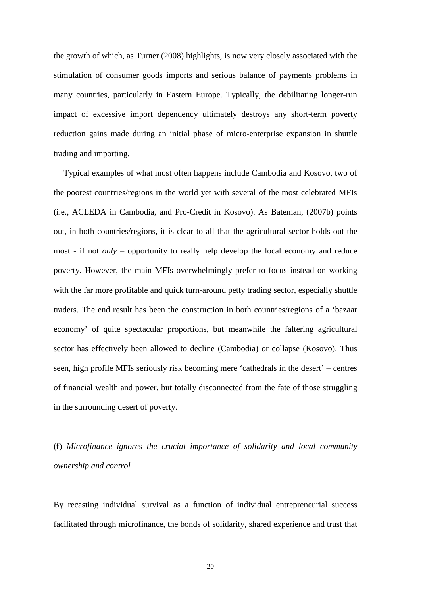the growth of which, as Turner (2008) highlights, is now very closely associated with the stimulation of consumer goods imports and serious balance of payments problems in many countries, particularly in Eastern Europe. Typically, the debilitating longer-run impact of excessive import dependency ultimately destroys any short-term poverty reduction gains made during an initial phase of micro-enterprise expansion in shuttle trading and importing.

Typical examples of what most often happens include Cambodia and Kosovo, two of the poorest countries/regions in the world yet with several of the most celebrated MFIs (i.e., ACLEDA in Cambodia, and Pro-Credit in Kosovo). As Bateman, (2007b) points out, in both countries/regions, it is clear to all that the agricultural sector holds out the most - if not *only* – opportunity to really help develop the local economy and reduce poverty. However, the main MFIs overwhelmingly prefer to focus instead on working with the far more profitable and quick turn-around petty trading sector, especially shuttle traders. The end result has been the construction in both countries/regions of a 'bazaar economy' of quite spectacular proportions, but meanwhile the faltering agricultural sector has effectively been allowed to decline (Cambodia) or collapse (Kosovo). Thus seen, high profile MFIs seriously risk becoming mere 'cathedrals in the desert' – centres of financial wealth and power, but totally disconnected from the fate of those struggling in the surrounding desert of poverty.

(**f**) *Microfinance ignores the crucial importance of solidarity and local community ownership and control*

By recasting individual survival as a function of individual entrepreneurial success facilitated through microfinance, the bonds of solidarity, shared experience and trust that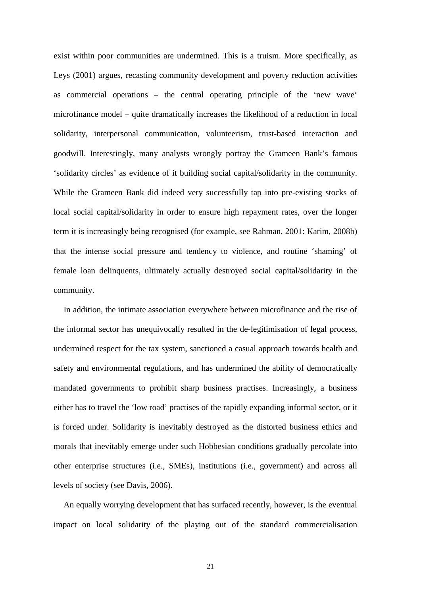exist within poor communities are undermined. This is a truism. More specifically, as Leys (2001) argues, recasting community development and poverty reduction activities as commercial operations – the central operating principle of the 'new wave' microfinance model – quite dramatically increases the likelihood of a reduction in local solidarity, interpersonal communication, volunteerism, trust-based interaction and goodwill. Interestingly, many analysts wrongly portray the Grameen Bank's famous 'solidarity circles' as evidence of it building social capital/solidarity in the community. While the Grameen Bank did indeed very successfully tap into pre-existing stocks of local social capital/solidarity in order to ensure high repayment rates, over the longer term it is increasingly being recognised (for example, see Rahman, 2001: Karim, 2008b) that the intense social pressure and tendency to violence, and routine 'shaming' of female loan delinquents, ultimately actually destroyed social capital/solidarity in the community.

In addition, the intimate association everywhere between microfinance and the rise of the informal sector has unequivocally resulted in the de-legitimisation of legal process, undermined respect for the tax system, sanctioned a casual approach towards health and safety and environmental regulations, and has undermined the ability of democratically mandated governments to prohibit sharp business practises. Increasingly, a business either has to travel the 'low road' practises of the rapidly expanding informal sector, or it is forced under. Solidarity is inevitably destroyed as the distorted business ethics and morals that inevitably emerge under such Hobbesian conditions gradually percolate into other enterprise structures (i.e., SMEs), institutions (i.e., government) and across all levels of society (see Davis, 2006).

An equally worrying development that has surfaced recently, however, is the eventual impact on local solidarity of the playing out of the standard commercialisation

21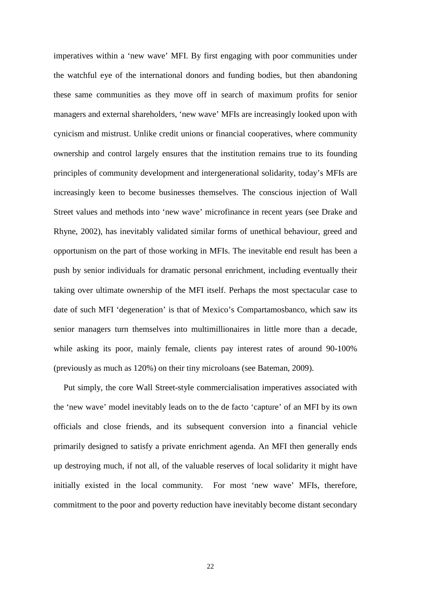imperatives within a 'new wave' MFI. By first engaging with poor communities under the watchful eye of the international donors and funding bodies, but then abandoning these same communities as they move off in search of maximum profits for senior managers and external shareholders, 'new wave' MFIs are increasingly looked upon with cynicism and mistrust. Unlike credit unions or financial cooperatives, where community ownership and control largely ensures that the institution remains true to its founding principles of community development and intergenerational solidarity, today's MFIs are increasingly keen to become businesses themselves. The conscious injection of Wall Street values and methods into 'new wave' microfinance in recent years (see Drake and Rhyne, 2002), has inevitably validated similar forms of unethical behaviour, greed and opportunism on the part of those working in MFIs. The inevitable end result has been a push by senior individuals for dramatic personal enrichment, including eventually their taking over ultimate ownership of the MFI itself. Perhaps the most spectacular case to date of such MFI 'degeneration' is that of Mexico's Compartamosbanco, which saw its senior managers turn themselves into multimillionaires in little more than a decade, while asking its poor, mainly female, clients pay interest rates of around 90-100% (previously as much as 120%) on their tiny microloans (see Bateman, 2009).

Put simply, the core Wall Street-style commercialisation imperatives associated with the 'new wave' model inevitably leads on to the de facto 'capture' of an MFI by its own officials and close friends, and its subsequent conversion into a financial vehicle primarily designed to satisfy a private enrichment agenda. An MFI then generally ends up destroying much, if not all, of the valuable reserves of local solidarity it might have initially existed in the local community. For most 'new wave' MFIs, therefore, commitment to the poor and poverty reduction have inevitably become distant secondary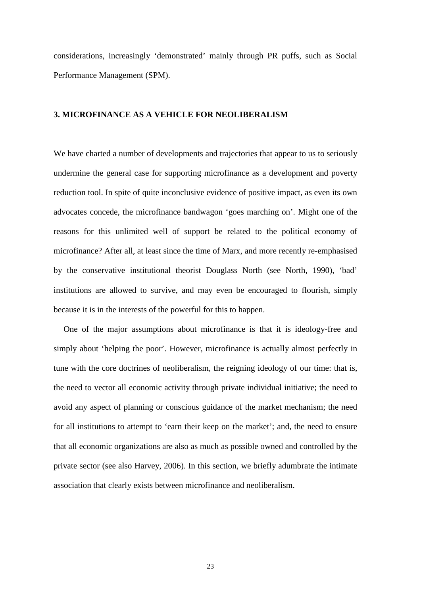considerations, increasingly 'demonstrated' mainly through PR puffs, such as Social Performance Management (SPM).

## **3. MICROFINANCE AS A VEHICLE FOR NEOLIBERALISM**

We have charted a number of developments and trajectories that appear to us to seriously undermine the general case for supporting microfinance as a development and poverty reduction tool. In spite of quite inconclusive evidence of positive impact, as even its own advocates concede, the microfinance bandwagon 'goes marching on'. Might one of the reasons for this unlimited well of support be related to the political economy of microfinance? After all, at least since the time of Marx, and more recently re-emphasised by the conservative institutional theorist Douglass North (see North, 1990), 'bad' institutions are allowed to survive, and may even be encouraged to flourish, simply because it is in the interests of the powerful for this to happen.

One of the major assumptions about microfinance is that it is ideology-free and simply about 'helping the poor'. However, microfinance is actually almost perfectly in tune with the core doctrines of neoliberalism, the reigning ideology of our time: that is, the need to vector all economic activity through private individual initiative; the need to avoid any aspect of planning or conscious guidance of the market mechanism; the need for all institutions to attempt to 'earn their keep on the market'; and, the need to ensure that all economic organizations are also as much as possible owned and controlled by the private sector (see also Harvey, 2006). In this section, we briefly adumbrate the intimate association that clearly exists between microfinance and neoliberalism.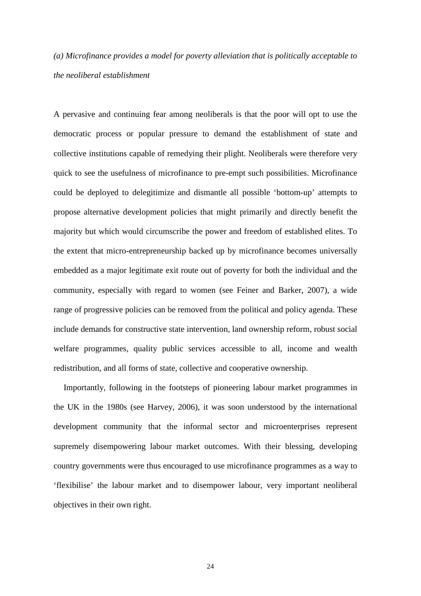# *(a) Microfinance provides a model for poverty alleviation that is politically acceptable to the neoliberal establishment*

A pervasive and continuing fear among neoliberals is that the poor will opt to use the democratic process or popular pressure to demand the establishment of state and collective institutions capable of remedying their plight. Neoliberals were therefore very quick to see the usefulness of microfinance to pre-empt such possibilities. Microfinance could be deployed to delegitimize and dismantle all possible 'bottom-up' attempts to propose alternative development policies that might primarily and directly benefit the majority but which would circumscribe the power and freedom of established elites. To the extent that micro-entrepreneurship backed up by microfinance becomes universally embedded as a major legitimate exit route out of poverty for both the individual and the community, especially with regard to women (see Feiner and Barker, 2007), a wide range of progressive policies can be removed from the political and policy agenda. These include demands for constructive state intervention, land ownership reform, robust social welfare programmes, quality public services accessible to all, income and wealth redistribution, and all forms of state, collective and cooperative ownership.

Importantly, following in the footsteps of pioneering labour market programmes in the UK in the 1980s (see Harvey, 2006), it was soon understood by the international development community that the informal sector and microenterprises represent supremely disempowering labour market outcomes. With their blessing, developing country governments were thus encouraged to use microfinance programmes as a way to 'flexibilise' the labour market and to disempower labour, very important neoliberal objectives in their own right.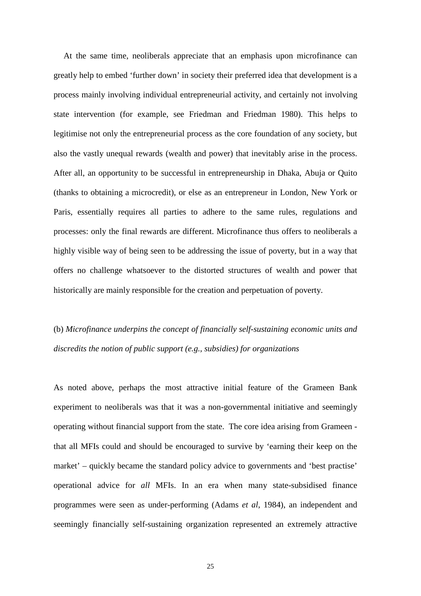At the same time, neoliberals appreciate that an emphasis upon microfinance can greatly help to embed 'further down' in society their preferred idea that development is a process mainly involving individual entrepreneurial activity, and certainly not involving state intervention (for example, see Friedman and Friedman 1980). This helps to legitimise not only the entrepreneurial process as the core foundation of any society, but also the vastly unequal rewards (wealth and power) that inevitably arise in the process. After all, an opportunity to be successful in entrepreneurship in Dhaka, Abuja or Quito (thanks to obtaining a microcredit), or else as an entrepreneur in London, New York or Paris, essentially requires all parties to adhere to the same rules, regulations and processes: only the final rewards are different. Microfinance thus offers to neoliberals a highly visible way of being seen to be addressing the issue of poverty, but in a way that offers no challenge whatsoever to the distorted structures of wealth and power that historically are mainly responsible for the creation and perpetuation of poverty.

(b) *Microfinance underpins the concept of financially self-sustaining economic units and discredits the notion of public support (e.g., subsidies) for organizations*

As noted above, perhaps the most attractive initial feature of the Grameen Bank experiment to neoliberals was that it was a non-governmental initiative and seemingly operating without financial support from the state. The core idea arising from Grameen that all MFIs could and should be encouraged to survive by 'earning their keep on the market' – quickly became the standard policy advice to governments and 'best practise' operational advice for *all* MFIs. In an era when many state-subsidised finance programmes were seen as under-performing (Adams *et al*, 1984), an independent and seemingly financially self-sustaining organization represented an extremely attractive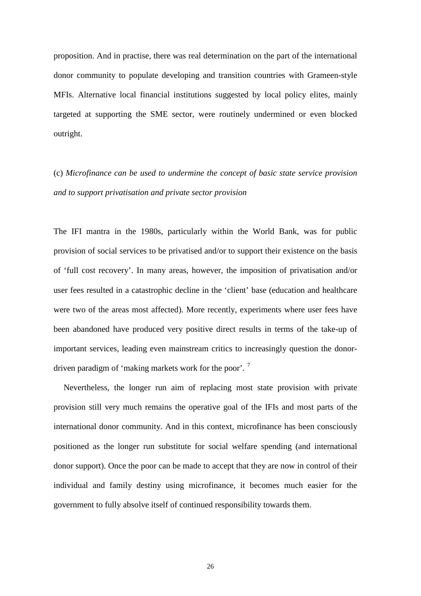proposition. And in practise, there was real determination on the part of the international donor community to populate developing and transition countries with Grameen-style MFIs. Alternative local financial institutions suggested by local policy elites, mainly targeted at supporting the SME sector, were routinely undermined or even blocked outright.

(c) *Microfinance can be used to undermine the concept of basic state service provision and to support privatisation and private sector provision*

The IFI mantra in the 1980s, particularly within the World Bank, was for public provision of social services to be privatised and/or to support their existence on the basis of 'full cost recovery'. In many areas, however, the imposition of privatisation and/or user fees resulted in a catastrophic decline in the 'client' base (education and healthcare were two of the areas most affected). More recently, experiments where user fees have been abandoned have produced very positive direct results in terms of the take-up of important services, leading even mainstream critics to increasingly question the donor-driven paradigm of 'making markets work for the poor'.<sup>[7](#page-37-6)</sup>

Nevertheless, the longer run aim of replacing most state provision with private provision still very much remains the operative goal of the IFIs and most parts of the international donor community. And in this context, microfinance has been consciously positioned as the longer run substitute for social welfare spending (and international donor support). Once the poor can be made to accept that they are now in control of their individual and family destiny using microfinance, it becomes much easier for the government to fully absolve itself of continued responsibility towards them.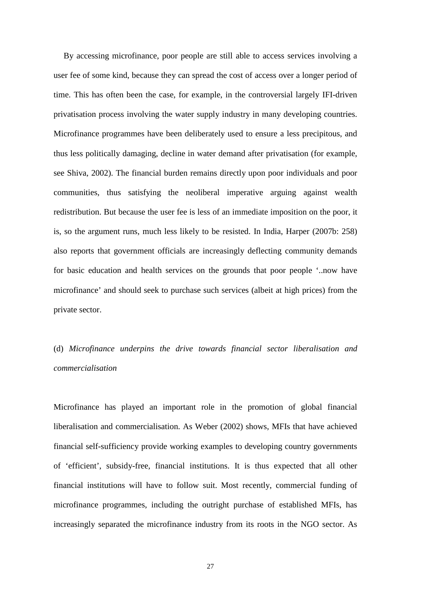By accessing microfinance, poor people are still able to access services involving a user fee of some kind, because they can spread the cost of access over a longer period of time. This has often been the case, for example, in the controversial largely IFI-driven privatisation process involving the water supply industry in many developing countries. Microfinance programmes have been deliberately used to ensure a less precipitous, and thus less politically damaging, decline in water demand after privatisation (for example, see Shiva, 2002). The financial burden remains directly upon poor individuals and poor communities, thus satisfying the neoliberal imperative arguing against wealth redistribution. But because the user fee is less of an immediate imposition on the poor, it is, so the argument runs, much less likely to be resisted. In India, Harper (2007b: 258) also reports that government officials are increasingly deflecting community demands for basic education and health services on the grounds that poor people '..now have microfinance' and should seek to purchase such services (albeit at high prices) from the private sector.

# (d) *Microfinance underpins the drive towards financial sector liberalisation and commercialisation*

Microfinance has played an important role in the promotion of global financial liberalisation and commercialisation. As Weber (2002) shows, MFIs that have achieved financial self-sufficiency provide working examples to developing country governments of 'efficient', subsidy-free, financial institutions. It is thus expected that all other financial institutions will have to follow suit. Most recently, commercial funding of microfinance programmes, including the outright purchase of established MFIs, has increasingly separated the microfinance industry from its roots in the NGO sector. As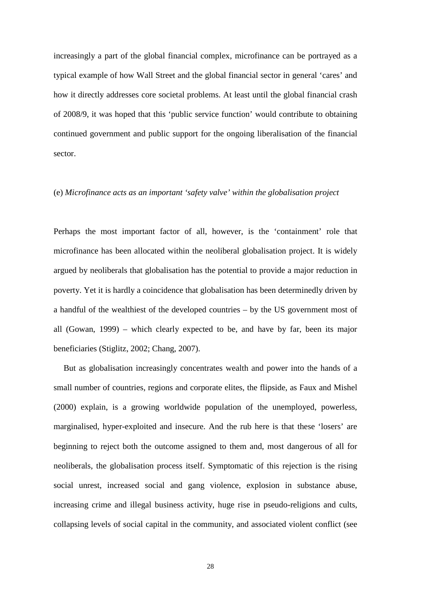increasingly a part of the global financial complex, microfinance can be portrayed as a typical example of how Wall Street and the global financial sector in general 'cares' and how it directly addresses core societal problems. At least until the global financial crash of 2008/9, it was hoped that this 'public service function' would contribute to obtaining continued government and public support for the ongoing liberalisation of the financial sector.

#### (e) *Microfinance acts as an important 'safety valve' within the globalisation project*

Perhaps the most important factor of all, however, is the 'containment' role that microfinance has been allocated within the neoliberal globalisation project. It is widely argued by neoliberals that globalisation has the potential to provide a major reduction in poverty. Yet it is hardly a coincidence that globalisation has been determinedly driven by a handful of the wealthiest of the developed countries – by the US government most of all (Gowan, 1999) – which clearly expected to be, and have by far, been its major beneficiaries (Stiglitz, 2002; Chang, 2007).

But as globalisation increasingly concentrates wealth and power into the hands of a small number of countries, regions and corporate elites, the flipside, as Faux and Mishel (2000) explain, is a growing worldwide population of the unemployed, powerless, marginalised, hyper-exploited and insecure. And the rub here is that these 'losers' are beginning to reject both the outcome assigned to them and, most dangerous of all for neoliberals, the globalisation process itself. Symptomatic of this rejection is the rising social unrest, increased social and gang violence, explosion in substance abuse, increasing crime and illegal business activity, huge rise in pseudo-religions and cults, collapsing levels of social capital in the community, and associated violent conflict (see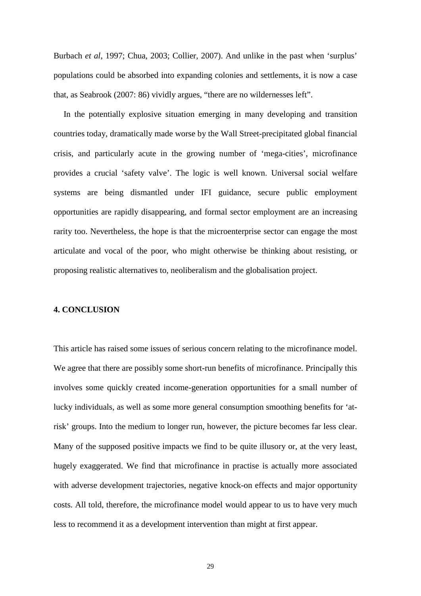Burbach *et al*, 1997; Chua, 2003; Collier, 2007). And unlike in the past when 'surplus' populations could be absorbed into expanding colonies and settlements, it is now a case that, as Seabrook (2007: 86) vividly argues, "there are no wildernesses left".

In the potentially explosive situation emerging in many developing and transition countries today, dramatically made worse by the Wall Street-precipitated global financial crisis, and particularly acute in the growing number of 'mega-cities', microfinance provides a crucial 'safety valve'. The logic is well known. Universal social welfare systems are being dismantled under IFI guidance, secure public employment opportunities are rapidly disappearing, and formal sector employment are an increasing rarity too. Nevertheless, the hope is that the microenterprise sector can engage the most articulate and vocal of the poor, who might otherwise be thinking about resisting, or proposing realistic alternatives to, neoliberalism and the globalisation project.

#### **4. CONCLUSION**

This article has raised some issues of serious concern relating to the microfinance model. We agree that there are possibly some short-run benefits of microfinance. Principally this involves some quickly created income-generation opportunities for a small number of lucky individuals, as well as some more general consumption smoothing benefits for 'atrisk' groups. Into the medium to longer run, however, the picture becomes far less clear. Many of the supposed positive impacts we find to be quite illusory or, at the very least, hugely exaggerated. We find that microfinance in practise is actually more associated with adverse development trajectories, negative knock-on effects and major opportunity costs. All told, therefore, the microfinance model would appear to us to have very much less to recommend it as a development intervention than might at first appear.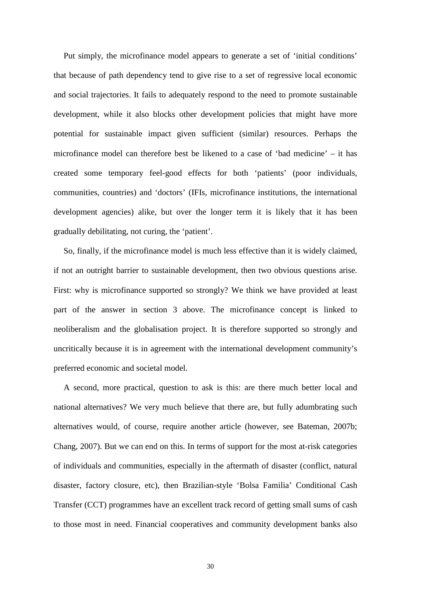Put simply, the microfinance model appears to generate a set of 'initial conditions' that because of path dependency tend to give rise to a set of regressive local economic and social trajectories. It fails to adequately respond to the need to promote sustainable development, while it also blocks other development policies that might have more potential for sustainable impact given sufficient (similar) resources. Perhaps the microfinance model can therefore best be likened to a case of 'bad medicine' – it has created some temporary feel-good effects for both 'patients' (poor individuals, communities, countries) and 'doctors' (IFIs, microfinance institutions, the international development agencies) alike, but over the longer term it is likely that it has been gradually debilitating, not curing, the 'patient'.

So, finally, if the microfinance model is much less effective than it is widely claimed, if not an outright barrier to sustainable development, then two obvious questions arise. First: why is microfinance supported so strongly? We think we have provided at least part of the answer in section 3 above. The microfinance concept is linked to neoliberalism and the globalisation project. It is therefore supported so strongly and uncritically because it is in agreement with the international development community's preferred economic and societal model.

A second, more practical, question to ask is this: are there much better local and national alternatives? We very much believe that there are, but fully adumbrating such alternatives would, of course, require another article (however, see Bateman, 2007b; Chang, 2007). But we can end on this. In terms of support for the most at-risk categories of individuals and communities, especially in the aftermath of disaster (conflict, natural disaster, factory closure, etc), then Brazilian-style 'Bolsa Familia' Conditional Cash Transfer (CCT) programmes have an excellent track record of getting small sums of cash to those most in need. Financial cooperatives and community development banks also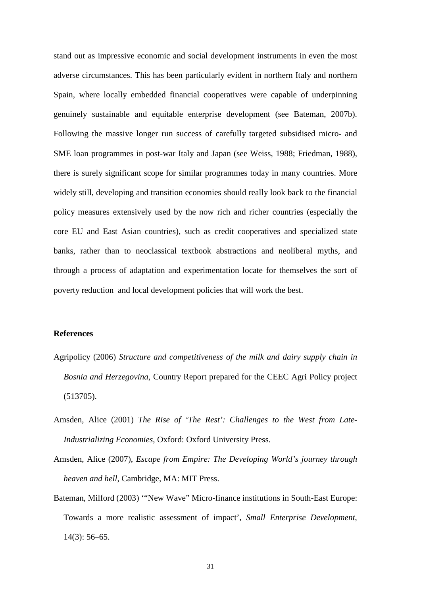stand out as impressive economic and social development instruments in even the most adverse circumstances. This has been particularly evident in northern Italy and northern Spain, where locally embedded financial cooperatives were capable of underpinning genuinely sustainable and equitable enterprise development (see Bateman, 2007b). Following the massive longer run success of carefully targeted subsidised micro- and SME loan programmes in post-war Italy and Japan (see Weiss, 1988; Friedman, 1988), there is surely significant scope for similar programmes today in many countries. More widely still, developing and transition economies should really look back to the financial policy measures extensively used by the now rich and richer countries (especially the core EU and East Asian countries), such as credit cooperatives and specialized state banks, rather than to neoclassical textbook abstractions and neoliberal myths, and through a process of adaptation and experimentation locate for themselves the sort of poverty reduction and local development policies that will work the best.

#### **References**

- Agripolicy (2006) *Structure and competitiveness of the milk and dairy supply chain in Bosnia and Herzegovina*, Country Report prepared for the CEEC Agri Policy project (513705).
- Amsden, Alice (2001) *The Rise of 'The Rest': Challenges to the West from Late-Industrializing Economies*, Oxford: Oxford University Press.
- Amsden, Alice (2007), *Escape from Empire: The Developing World's journey through heaven and hell*, Cambridge, MA: MIT Press.
- Bateman, Milford (2003) '"New Wave" Micro-finance institutions in South-East Europe: Towards a more realistic assessment of impact', *Small Enterprise Development*, 14(3): 56–65.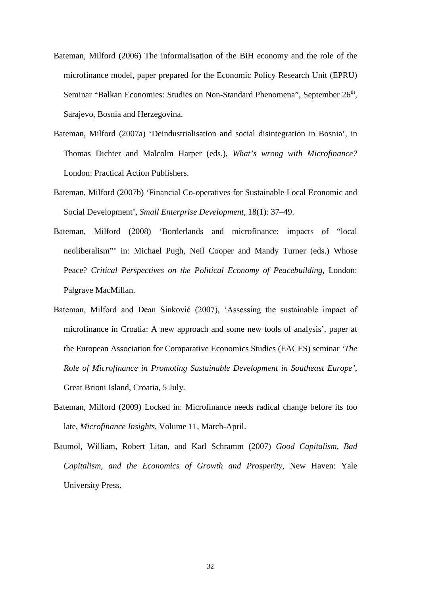- Bateman, Milford (2006) The informalisation of the BiH economy and the role of the microfinance model, paper prepared for the Economic Policy Research Unit (EPRU) Seminar "Balkan Economies: Studies on Non-Standard Phenomena", September 26<sup>th</sup>, Sarajevo, Bosnia and Herzegovina.
- Bateman, Milford (2007a) 'Deindustrialisation and social disintegration in Bosnia', in Thomas Dichter and Malcolm Harper (eds.), *What's wrong with Microfinance?* London: Practical Action Publishers.
- Bateman, Milford (2007b) 'Financial Co-operatives for Sustainable Local Economic and Social Development', *Small Enterprise Development*, 18(1): 37–49.
- Bateman, Milford (2008) 'Borderlands and microfinance: impacts of "local neoliberalism"' in: Michael Pugh, Neil Cooper and Mandy Turner (eds.) Whose Peace? *Critical Perspectives on the Political Economy of Peacebuilding*, London: Palgrave MacMillan.
- Bateman, Milford and Dean Sinković (2007), 'Assessing the sustainable impact of microfinance in Croatia: A new approach and some new tools of analysis', paper at the European Association for Comparative Economics Studies (EACES) seminar *'The Role of Microfinance in Promoting Sustainable Development in Southeast Europe'*, Great Brioni Island, Croatia, 5 July.
- Bateman, Milford (2009) Locked in: Microfinance needs radical change before its too late, *Microfinance Insights*, Volume 11, March-April.
- Baumol, William, Robert Litan, and Karl Schramm (2007) *Good Capitalism, Bad Capitalism, and the Economics of Growth and Prosperity*, New Haven: Yale University Press.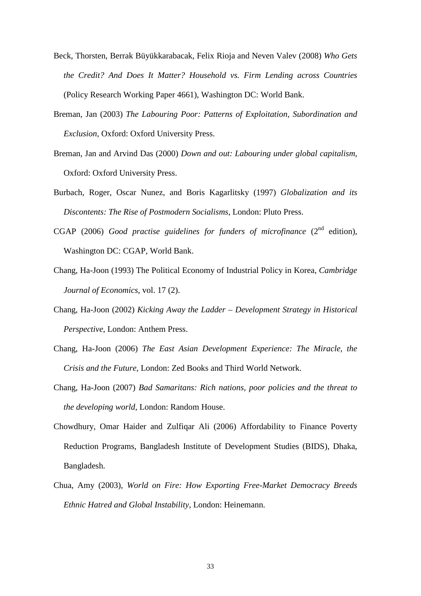- Beck, Thorsten, Berrak Büyükkarabacak, Felix Rioja and Neven Valev (2008) *Who Gets the Credit? And Does It Matter? Household vs. Firm Lending across Countries*  (Policy Research Working Paper 4661), Washington DC: World Bank.
- Breman, Jan (2003) *The Labouring Poor: Patterns of Exploitation, Subordination and Exclusion*, Oxford: Oxford University Press.
- Breman, Jan and Arvind Das (2000) *Down and out: Labouring under global capitalism*, Oxford: Oxford University Press.
- Burbach, Roger, Oscar Nunez, and Boris Kagarlitsky (1997) *Globalization and its Discontents: The Rise of Postmodern Socialisms*, London: Pluto Press.
- CGAP (2006) *Good practise guidelines for funders of microfinance*  $(2^{nd}$  edition), Washington DC: CGAP, World Bank.
- Chang, Ha-Joon (1993) The Political Economy of Industrial Policy in Korea, *Cambridge Journal of Economics*, vol. 17 (2).
- Chang, Ha-Joon (2002) *Kicking Away the Ladder – Development Strategy in Historical Perspective*, London: Anthem Press.
- Chang, Ha-Joon (2006) *The East Asian Development Experience: The Miracle, the Crisis and the Future*, London: Zed Books and Third World Network.
- Chang, Ha-Joon (2007) *Bad Samaritans: Rich nations, poor policies and the threat to the developing world*, London: Random House.
- Chowdhury, Omar Haider and Zulfiqar Ali (2006) Affordability to Finance Poverty Reduction Programs, Bangladesh Institute of Development Studies (BIDS), Dhaka, Bangladesh.
- Chua, Amy (2003), *World on Fire: How Exporting Free-Market Democracy Breeds Ethnic Hatred and Global Instability*, London: Heinemann.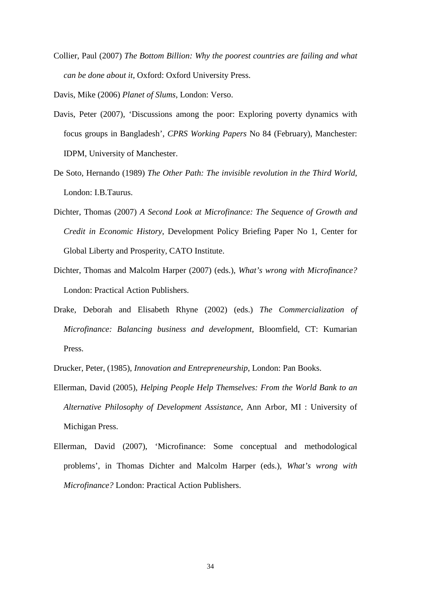Collier, Paul (2007) *The Bottom Billion: Why the poorest countries are failing and what can be done about it*, Oxford: Oxford University Press.

Davis, Mike (2006) *Planet of Slums*, London: Verso.

- Davis, Peter (2007), 'Discussions among the poor: Exploring poverty dynamics with focus groups in Bangladesh', *CPRS Working Papers* No 84 (February), Manchester: IDPM, University of Manchester.
- De Soto, Hernando (1989) *The Other Path: The invisible revolution in the Third World*, London: I.B.Taurus.
- Dichter, Thomas (2007) *A Second Look at Microfinance: The Sequence of Growth and Credit in Economic History*, Development Policy Briefing Paper No 1, Center for Global Liberty and Prosperity, CATO Institute.
- Dichter, Thomas and Malcolm Harper (2007) (eds.), *What's wrong with Microfinance?* London: Practical Action Publishers.
- Drake, Deborah and Elisabeth Rhyne (2002) (eds.) *The Commercialization of Microfinance: Balancing business and development*, Bloomfield, CT: Kumarian Press.
- Drucker, Peter, (1985), *Innovation and Entrepreneurship*, London: Pan Books.
- Ellerman, David (2005), *Helping People Help Themselves: From the World Bank to an Alternative Philosophy of Development Assistance*, Ann Arbor, MI : University of Michigan Press.
- Ellerman, David (2007), 'Microfinance: Some conceptual and methodological problems', in Thomas Dichter and Malcolm Harper (eds.), *What's wrong with Microfinance?* London: Practical Action Publishers.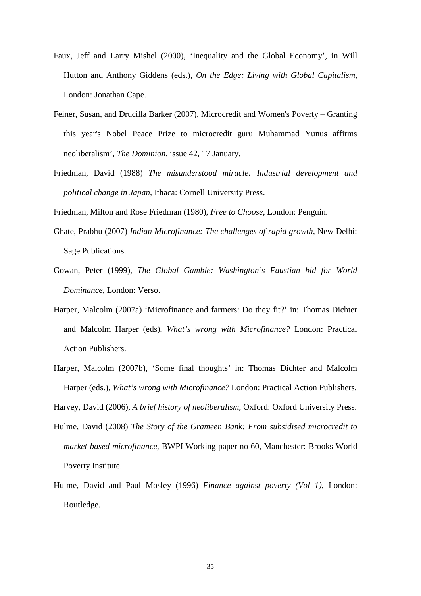- Faux, Jeff and Larry Mishel (2000), 'Inequality and the Global Economy', in Will Hutton and Anthony Giddens (eds.), *On the Edge: Living with Global Capitalism*, London: Jonathan Cape.
- Feiner, Susan, and Drucilla Barker (2007), Microcredit and Women's Poverty Granting this year's Nobel Peace Prize to microcredit guru Muhammad Yunus affirms neoliberalism', *The Dominion*, issue 42, 17 January.
- Friedman, David (1988) *The misunderstood miracle: Industrial development and political change in Japan*, Ithaca: Cornell University Press.

Friedman, Milton and Rose Friedman (1980), *Free to Choose*, London: Penguin.

- Ghate, Prabhu (2007) *Indian Microfinance: The challenges of rapid growth*, New Delhi: Sage Publications.
- Gowan, Peter (1999), *The Global Gamble: Washington's Faustian bid for World Dominance*, London: Verso.
- Harper, Malcolm (2007a) 'Microfinance and farmers: Do they fit?' in: Thomas Dichter and Malcolm Harper (eds), *What's wrong with Microfinance?* London: Practical Action Publishers.
- Harper, Malcolm (2007b), 'Some final thoughts' in: Thomas Dichter and Malcolm Harper (eds.), *What's wrong with Microfinance?* London: Practical Action Publishers.

Harvey, David (2006), *A brief history of neoliberalism*, Oxford: Oxford University Press.

- Hulme, David (2008) *The Story of the Grameen Bank: From subsidised microcredit to market-based microfinance*, BWPI Working paper no 60, Manchester: Brooks World Poverty Institute.
- Hulme, David and Paul Mosley (1996) *Finance against poverty (Vol 1)*, London: Routledge.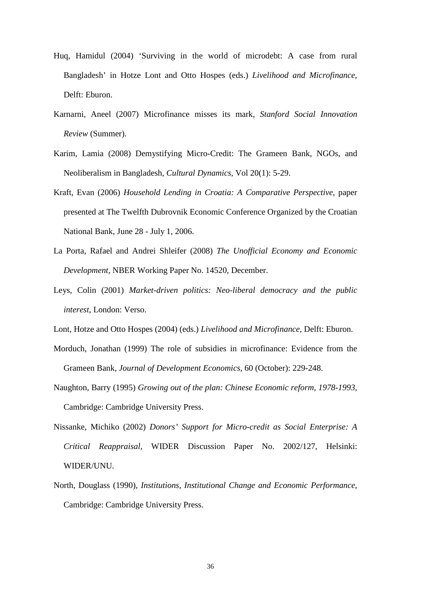- Huq, Hamidul (2004) 'Surviving in the world of microdebt: A case from rural Bangladesh' in Hotze Lont and Otto Hospes (eds.) *Livelihood and Microfinance*, Delft: Eburon.
- Karnarni, Aneel (2007) Microfinance misses its mark, *Stanford Social Innovation Review* (Summer).
- Karim, Lamia (2008) Demystifying Micro-Credit: The Grameen Bank, NGOs, and Neoliberalism in Bangladesh, *Cultural Dynamics*, Vol 20(1): 5-29.
- Kraft, Evan (2006) *Household Lending in Croatia: A Comparative Perspective*, paper presented at The Twelfth Dubrovnik Economic Conference Organized by the Croatian National Bank, June 28 - July 1, 2006.
- La Porta, Rafael and Andrei Shleifer (2008) *The Unofficial Economy and Economic Development*, NBER Working Paper No. 14520, December.
- Leys, Colin (2001) *Market-driven politics: Neo-liberal democracy and the public interest*, London: Verso.
- Lont, Hotze and Otto Hospes (2004) (eds.) *Livelihood and Microfinance*, Delft: Eburon.
- Morduch, Jonathan (1999) The role of subsidies in microfinance: Evidence from the Grameen Bank, *Journal of Development Economics*, 60 (October): 229-248.
- Naughton, Barry (1995) *Growing out of the plan: Chinese Economic reform, 1978-1993*, Cambridge: Cambridge University Press.
- Nissanke, Michiko (2002) *Donors' Support for Micro-credit as Social Enterprise: A Critical Reappraisal*, WIDER Discussion Paper No. 2002/127, Helsinki: WIDER/UNU.
- North, Douglass (1990), *Institutions, Institutional Change and Economic Performance*, Cambridge: Cambridge University Press.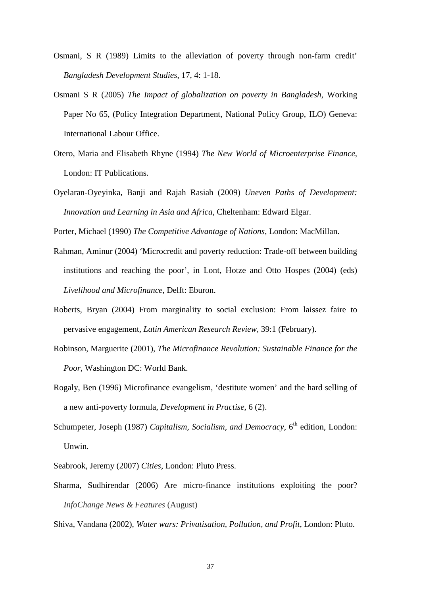- Osmani, S R (1989) Limits to the alleviation of poverty through non-farm credit' *Bangladesh Development Studies*, 17, 4: 1-18.
- Osmani S R (2005) *The Impact of globalization on poverty in Bangladesh*, Working Paper No 65, (Policy Integration Department, National Policy Group, ILO) Geneva: International Labour Office.
- Otero, Maria and Elisabeth Rhyne (1994) *The New World of Microenterprise Finance*, London: IT Publications.
- Oyelaran-Oyeyinka, Banji and Rajah Rasiah (2009) *Uneven Paths of Development: Innovation and Learning in Asia and Africa*, Cheltenham: Edward Elgar.

Porter, Michael (1990) *The Competitive Advantage of Nations*, London: MacMillan.

- Rahman, Aminur (2004) 'Microcredit and poverty reduction: Trade-off between building institutions and reaching the poor', in Lont, Hotze and Otto Hospes (2004) (eds) *Livelihood and Microfinance*, Delft: Eburon.
- Roberts, Bryan (2004) From marginality to social exclusion: From laissez faire to pervasive engagement, *Latin American Research Review*, 39:1 (February).
- Robinson, Marguerite (2001), *The Microfinance Revolution: Sustainable Finance for the Poor,* Washington DC: World Bank.
- Rogaly, Ben (1996) Microfinance evangelism, 'destitute women' and the hard selling of a new anti-poverty formula, *Development in Practise*, 6 (2).
- Schumpeter, Joseph (1987) *Capitalism, Socialism, and Democracy*, 6<sup>th</sup> edition, London: Unwin.
- Seabrook, Jeremy (2007) *Cities*, London: Pluto Press.
- Sharma, Sudhirendar (2006) Are micro-finance institutions exploiting the poor? *InfoChange News & Features* (August)
- Shiva, Vandana (2002), *Water wars: Privatisation, Pollution, and Profit*, London: Pluto.